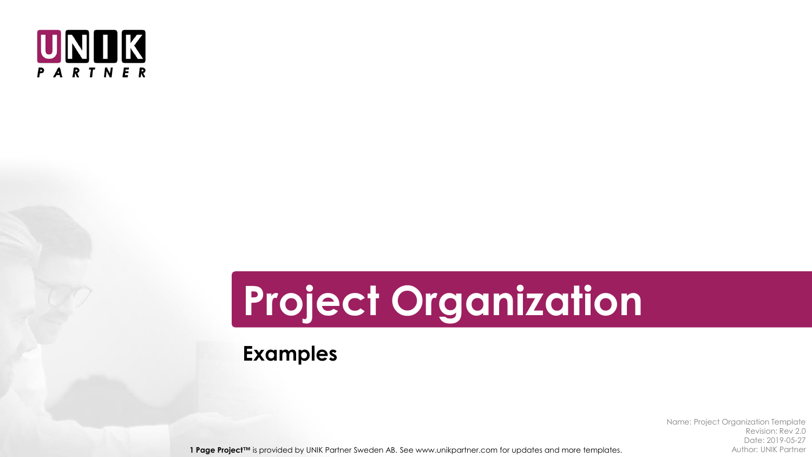

# **Project Organization**

**Examples**

Name: Project Organization Template Revision: Rev 2.0 Date: 2019-05-27

1 Page Project™ is provided by UNIK Partner Sweden AB. See www.unikpartner.com for updates and more templates. Author: UNIK Partner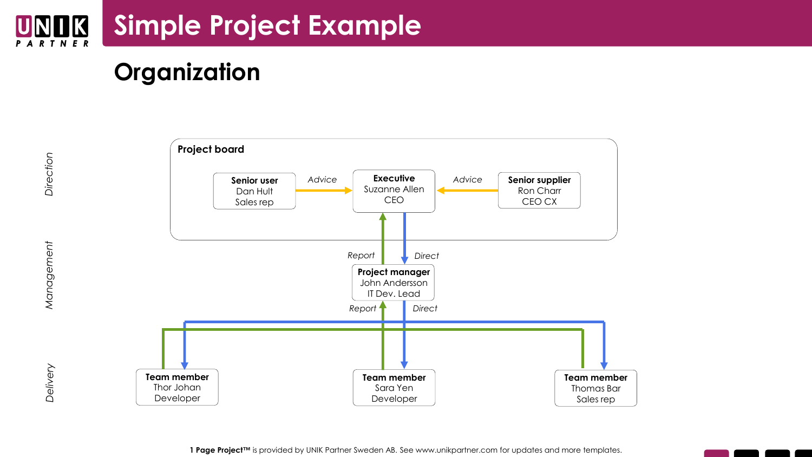

## **Organization**



Direction

**1 Page Project™** is provided by UNIK Partner Sweden AB. See www.unikpartner.com for updates and more templates.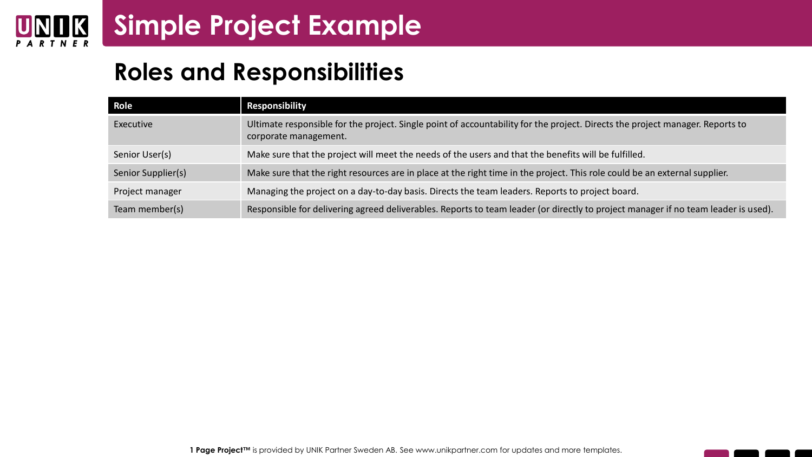

### **Roles and Responsibilities**

| Role               | <b>Responsibility</b>                                                                                                                                  |
|--------------------|--------------------------------------------------------------------------------------------------------------------------------------------------------|
| Executive          | Ultimate responsible for the project. Single point of accountability for the project. Directs the project manager. Reports to<br>corporate management. |
| Senior User(s)     | Make sure that the project will meet the needs of the users and that the benefits will be fulfilled.                                                   |
| Senior Supplier(s) | Make sure that the right resources are in place at the right time in the project. This role could be an external supplier.                             |
| Project manager    | Managing the project on a day-to-day basis. Directs the team leaders. Reports to project board.                                                        |
| Team member(s)     | Responsible for delivering agreed deliverables. Reports to team leader (or directly to project manager if no team leader is used).                     |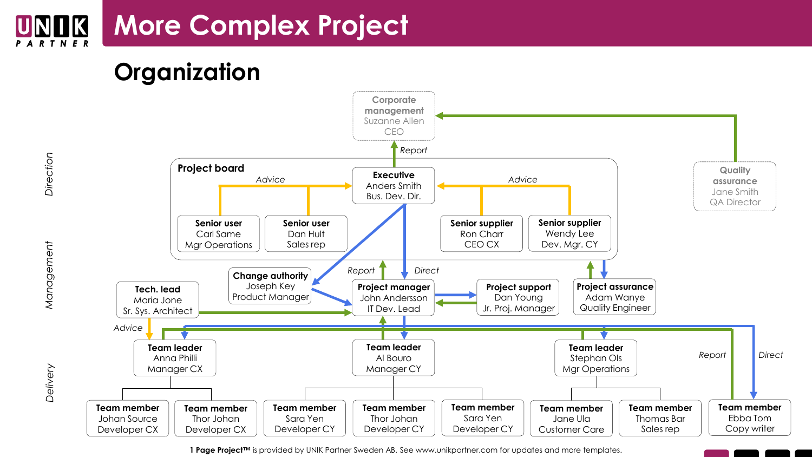#### **More Complex Project** UNOK



*Delivery Management Direction*

Management

Delivery

Direction



**1 Page Project™** is provided by UNIK Partner Sweden AB. See www.unikpartner.com for updates and more templates.